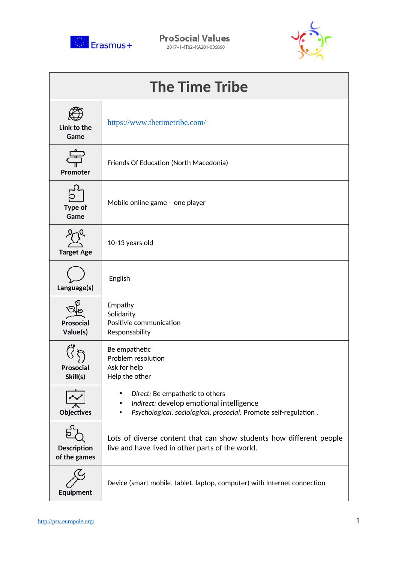

**ProSocial Values** 2017-1-IT02-KA201-036860



| <b>The Time Tribe</b>              |                                                                                                                                                                   |  |
|------------------------------------|-------------------------------------------------------------------------------------------------------------------------------------------------------------------|--|
| Link to the<br>Game                | https://www.thetimetribe.com/                                                                                                                                     |  |
| Promoter                           | Friends Of Education (North Macedonia)                                                                                                                            |  |
| Type of<br>Game                    | Mobile online game - one player                                                                                                                                   |  |
| <b>Target Age</b>                  | 10-13 years old                                                                                                                                                   |  |
| Language(s)                        | English                                                                                                                                                           |  |
| <b>Prosocial</b><br>Value(s)       | Empathy<br>Solidarity<br>Positivie communication<br>Responsability                                                                                                |  |
| Prosocial<br>Skill(s)              | Be empathetic<br>Problem resolution<br>Ask for help<br>Help the other                                                                                             |  |
| Objectives                         | Direct: Be empathetic to others<br>Indirect: develop emotional intelligence<br>٠<br>Psychological, sociological, prosocial: Promote self-regulation.<br>$\bullet$ |  |
| <b>Description</b><br>of the games | Lots of diverse content that can show students how different people<br>live and have lived in other parts of the world.                                           |  |
| Equipment                          | Device (smart mobile, tablet, laptop, computer) with Internet connection                                                                                          |  |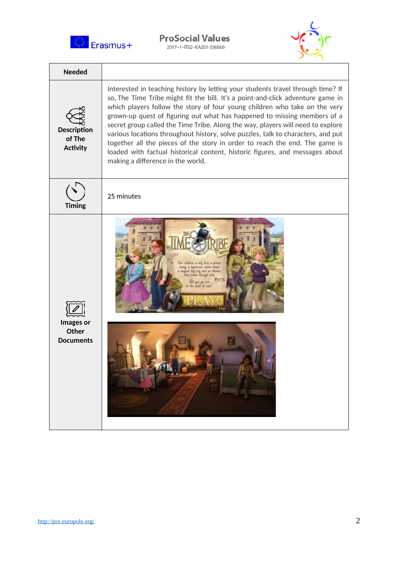

**ProSocial Values** 2017-1-IT02-KA201-036860



| <b>Needed</b>                                   |                                                                                                                                                                                                                                                                                                                                                                                                                                                                                                                                                                                                                                                                                                         |
|-------------------------------------------------|---------------------------------------------------------------------------------------------------------------------------------------------------------------------------------------------------------------------------------------------------------------------------------------------------------------------------------------------------------------------------------------------------------------------------------------------------------------------------------------------------------------------------------------------------------------------------------------------------------------------------------------------------------------------------------------------------------|
| <b>Description</b><br>of The<br><b>Activity</b> | Interested in teaching history by letting your students travel through time? If<br>so, The Time Tribe might fit the bill. It's a point-and-click adventure game in<br>which players follow the story of four young children who take on the very<br>grown-up quest of figuring out what has happened to missing members of a<br>secret group called the Time Tribe. Along the way, players will need to explore<br>various locations throughout history, solve puzzles, talk to characters, and put<br>together all the pieces of the story in order to reach the end. The game is<br>loaded with factual historical content, historic figures, and messages about<br>making a difference in the world. |
| <b>Timing</b>                                   | 25 minutes                                                                                                                                                                                                                                                                                                                                                                                                                                                                                                                                                                                                                                                                                              |
| Images or<br>Other<br><b>Documents</b>          | children, a wily bird, a deliver<br>a materious manor house.<br>gical kny-ring and an eleisen<br>ur train's through tim<br>sanct of tim                                                                                                                                                                                                                                                                                                                                                                                                                                                                                                                                                                 |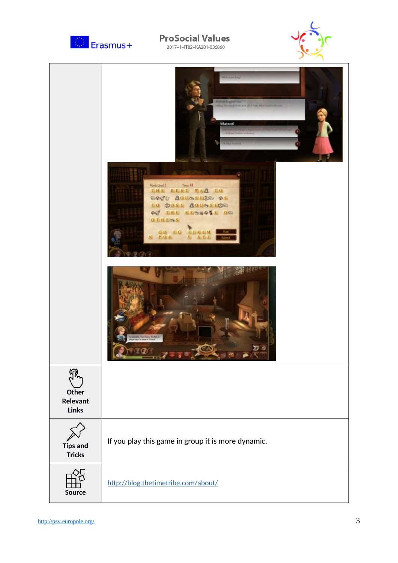

## **ProSocial Values**

2017-1-IT02-KA201-036860



|                                          | <b>Ukrain</b> List<br>His hum Beggend says<br>withing the trength for this lock, also know When I search as the case<br>What went?<br><b>Die Olive</b><br>Hindi Live Live H<br>THE BEST WAA TO<br>OOS OOLOSES OS<br>TO 南OSE GOUGSIGE<br>OF THE SESMONE OR<br><b>OTHESS</b><br>CD FG LIKLM<br>- Hag<br>$N_i$ $P$ $Q$ $R$<br>$X$ $Y$ $Z$<br>Salvai<br>Ni<br><b>Dany Danie Student</b><br>cares its name or Tounch<br>$\overline{\mathbf{z}}$ is |
|------------------------------------------|-----------------------------------------------------------------------------------------------------------------------------------------------------------------------------------------------------------------------------------------------------------------------------------------------------------------------------------------------------------------------------------------------------------------------------------------------|
| Other<br><b>Relevant</b><br><b>Links</b> |                                                                                                                                                                                                                                                                                                                                                                                                                                               |
| <b>Tips and</b><br><b>Tricks</b>         | If you play this game in group it is more dynamic.                                                                                                                                                                                                                                                                                                                                                                                            |
| Source                                   | http://blog.thetimetribe.com/about/                                                                                                                                                                                                                                                                                                                                                                                                           |